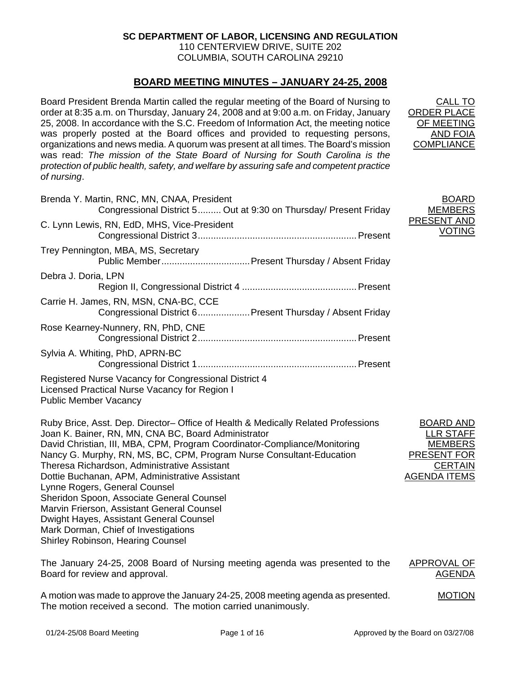## **SC DEPARTMENT OF LABOR, LICENSING AND REGULATION**

110 CENTERVIEW DRIVE, SUITE 202 COLUMBIA, SOUTH CAROLINA 29210

## **BOARD MEETING MINUTES – JANUARY 24-25, 2008**

Board President Brenda Martin called the regular meeting of the Board of Nursing to order at 8:35 a.m. on Thursday, January 24, 2008 and at 9:00 a.m. on Friday, January 25, 2008. In accordance with the S.C. Freedom of Information Act, the meeting notice was properly posted at the Board offices and provided to requesting persons, organizations and news media. A quorum was present at all times. The Board's mission was read: *The mission of the State Board of Nursing for South Carolina is the protection of public health, safety, and welfare by assuring safe and competent practice of nursing*.

| Brenda Y. Martin, RNC, MN, CNAA, President<br>Congressional District 5 Out at 9:30 on Thursday/ Present Friday                                                                                                                                                                                                                                                                                                                                                                                                                                                                                                                                      | <b>BOARD</b><br><b>MEMBERS</b>                                                                                        |
|-----------------------------------------------------------------------------------------------------------------------------------------------------------------------------------------------------------------------------------------------------------------------------------------------------------------------------------------------------------------------------------------------------------------------------------------------------------------------------------------------------------------------------------------------------------------------------------------------------------------------------------------------------|-----------------------------------------------------------------------------------------------------------------------|
| C. Lynn Lewis, RN, EdD, MHS, Vice-President                                                                                                                                                                                                                                                                                                                                                                                                                                                                                                                                                                                                         | PRESENT AND<br><b>VOTING</b>                                                                                          |
| Trey Pennington, MBA, MS, Secretary                                                                                                                                                                                                                                                                                                                                                                                                                                                                                                                                                                                                                 |                                                                                                                       |
| Debra J. Doria, LPN                                                                                                                                                                                                                                                                                                                                                                                                                                                                                                                                                                                                                                 |                                                                                                                       |
| Carrie H. James, RN, MSN, CNA-BC, CCE<br>Congressional District 6 Present Thursday / Absent Friday                                                                                                                                                                                                                                                                                                                                                                                                                                                                                                                                                  |                                                                                                                       |
| Rose Kearney-Nunnery, RN, PhD, CNE                                                                                                                                                                                                                                                                                                                                                                                                                                                                                                                                                                                                                  |                                                                                                                       |
| Sylvia A. Whiting, PhD, APRN-BC                                                                                                                                                                                                                                                                                                                                                                                                                                                                                                                                                                                                                     |                                                                                                                       |
| Registered Nurse Vacancy for Congressional District 4<br>Licensed Practical Nurse Vacancy for Region I<br><b>Public Member Vacancy</b>                                                                                                                                                                                                                                                                                                                                                                                                                                                                                                              |                                                                                                                       |
| Ruby Brice, Asst. Dep. Director– Office of Health & Medically Related Professions<br>Joan K. Bainer, RN, MN, CNA BC, Board Administrator<br>David Christian, III, MBA, CPM, Program Coordinator-Compliance/Monitoring<br>Nancy G. Murphy, RN, MS, BC, CPM, Program Nurse Consultant-Education<br>Theresa Richardson, Administrative Assistant<br>Dottie Buchanan, APM, Administrative Assistant<br>Lynne Rogers, General Counsel<br>Sheridon Spoon, Associate General Counsel<br>Marvin Frierson, Assistant General Counsel<br>Dwight Hayes, Assistant General Counsel<br>Mark Dorman, Chief of Investigations<br>Shirley Robinson, Hearing Counsel | <b>BOARD AND</b><br><b>LLR STAFF</b><br><b>MEMBERS</b><br><b>PRESENT FOR</b><br><b>CERTAIN</b><br><b>AGENDA ITEMS</b> |
|                                                                                                                                                                                                                                                                                                                                                                                                                                                                                                                                                                                                                                                     |                                                                                                                       |

The January 24-25, 2008 Board of Nursing meeting agenda was presented to the Board for review and approval. APPROVAL OF AGENDA

A motion was made to approve the January 24-25, 2008 meeting agenda as presented. The motion received a second. The motion carried unanimously.

CALL TO

ORDER PLACE OF MEETING AND FOIA **COMPLIANCE**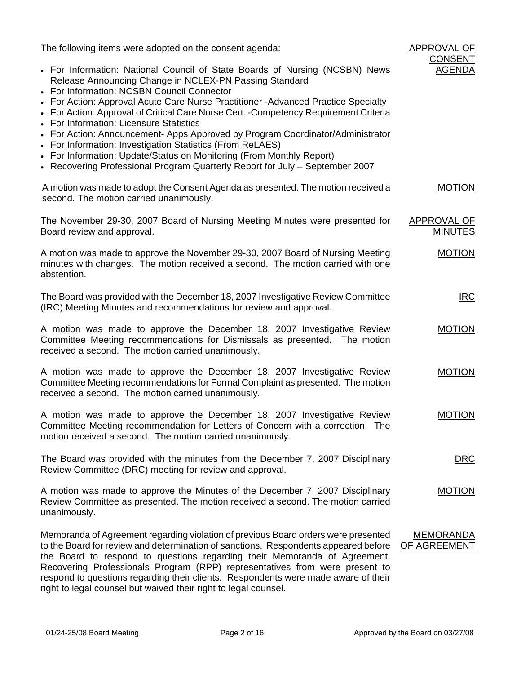| The following items were adopted on the consent agenda:                                                                                                                                                                                                                                                                                                                                                                                                                                                                                                                                                                                                                                                              | APPROVAL OF<br><b>CONSENT</b>        |
|----------------------------------------------------------------------------------------------------------------------------------------------------------------------------------------------------------------------------------------------------------------------------------------------------------------------------------------------------------------------------------------------------------------------------------------------------------------------------------------------------------------------------------------------------------------------------------------------------------------------------------------------------------------------------------------------------------------------|--------------------------------------|
| • For Information: National Council of State Boards of Nursing (NCSBN) News<br>Release Announcing Change in NCLEX-PN Passing Standard<br>• For Information: NCSBN Council Connector<br>• For Action: Approval Acute Care Nurse Practitioner - Advanced Practice Specialty<br>• For Action: Approval of Critical Care Nurse Cert. - Competency Requirement Criteria<br>• For Information: Licensure Statistics<br>• For Action: Announcement- Apps Approved by Program Coordinator/Administrator<br>• For Information: Investigation Statistics (From ReLAES)<br>• For Information: Update/Status on Monitoring (From Monthly Report)<br>• Recovering Professional Program Quarterly Report for July - September 2007 | <b>AGENDA</b>                        |
| A motion was made to adopt the Consent Agenda as presented. The motion received a<br>second. The motion carried unanimously.                                                                                                                                                                                                                                                                                                                                                                                                                                                                                                                                                                                         | <b>MOTION</b>                        |
| The November 29-30, 2007 Board of Nursing Meeting Minutes were presented for<br>Board review and approval.                                                                                                                                                                                                                                                                                                                                                                                                                                                                                                                                                                                                           | <b>APPROVAL OF</b><br><b>MINUTES</b> |
| A motion was made to approve the November 29-30, 2007 Board of Nursing Meeting<br>minutes with changes. The motion received a second. The motion carried with one<br>abstention.                                                                                                                                                                                                                                                                                                                                                                                                                                                                                                                                     | <b>MOTION</b>                        |
| The Board was provided with the December 18, 2007 Investigative Review Committee<br>(IRC) Meeting Minutes and recommendations for review and approval.                                                                                                                                                                                                                                                                                                                                                                                                                                                                                                                                                               | IRC                                  |
| A motion was made to approve the December 18, 2007 Investigative Review<br>Committee Meeting recommendations for Dismissals as presented. The motion<br>received a second. The motion carried unanimously.                                                                                                                                                                                                                                                                                                                                                                                                                                                                                                           | <b>MOTION</b>                        |
| A motion was made to approve the December 18, 2007 Investigative Review<br>Committee Meeting recommendations for Formal Complaint as presented. The motion<br>received a second. The motion carried unanimously.                                                                                                                                                                                                                                                                                                                                                                                                                                                                                                     | <b>MOTION</b>                        |
| A motion was made to approve the December 18, 2007 Investigative Review<br>Committee Meeting recommendation for Letters of Concern with a correction. The<br>motion received a second. The motion carried unanimously.                                                                                                                                                                                                                                                                                                                                                                                                                                                                                               | <b>MOTION</b>                        |
| The Board was provided with the minutes from the December 7, 2007 Disciplinary<br>Review Committee (DRC) meeting for review and approval.                                                                                                                                                                                                                                                                                                                                                                                                                                                                                                                                                                            | <b>DRC</b>                           |
| A motion was made to approve the Minutes of the December 7, 2007 Disciplinary<br>Review Committee as presented. The motion received a second. The motion carried<br>unanimously.                                                                                                                                                                                                                                                                                                                                                                                                                                                                                                                                     | <b>MOTION</b>                        |
| Memoranda of Agreement regarding violation of previous Board orders were presented<br>to the Board for review and determination of sanctions. Respondents appeared before<br>the Board to respond to questions regarding their Memoranda of Agreement.<br>Recovering Professionals Program (RPP) representatives from were present to<br>respond to questions regarding their clients. Respondents were made aware of their                                                                                                                                                                                                                                                                                          | <b>MEMORANDA</b><br>OF AGREEMENT     |

right to legal counsel but waived their right to legal counsel.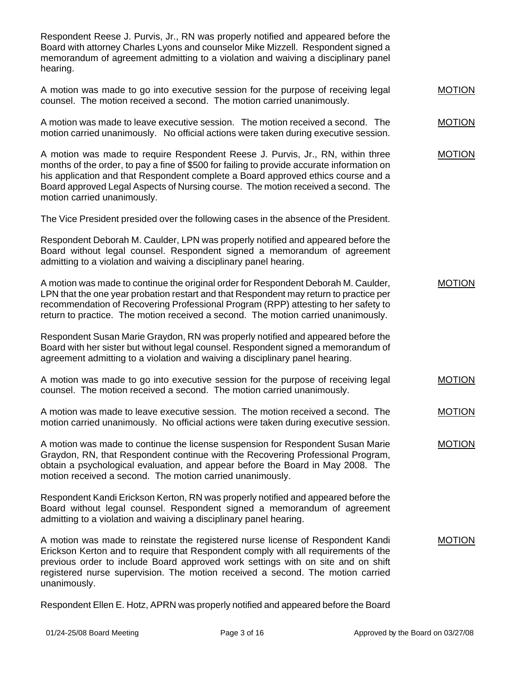Respondent Reese J. Purvis, Jr., RN was properly notified and appeared before the Board with attorney Charles Lyons and counselor Mike Mizzell. Respondent signed a memorandum of agreement admitting to a violation and waiving a disciplinary panel hearing.

|  | A motion was made to go into executive session for the purpose of receiving legal | <b>MOTION</b> |
|--|-----------------------------------------------------------------------------------|---------------|
|  | counsel. The motion received a second. The motion carried unanimously.            |               |

A motion was made to leave executive session. The motion received a second. The motion carried unanimously. No official actions were taken during executive session. MOTION

A motion was made to require Respondent Reese J. Purvis, Jr., RN, within three months of the order, to pay a fine of \$500 for failing to provide accurate information on his application and that Respondent complete a Board approved ethics course and a Board approved Legal Aspects of Nursing course. The motion received a second. The motion carried unanimously. MOTION

The Vice President presided over the following cases in the absence of the President.

Respondent Deborah M. Caulder, LPN was properly notified and appeared before the Board without legal counsel. Respondent signed a memorandum of agreement admitting to a violation and waiving a disciplinary panel hearing.

| A motion was made to continue the original order for Respondent Deborah M. Caulder,    | <b>MOTION</b> |
|----------------------------------------------------------------------------------------|---------------|
| LPN that the one year probation restart and that Respondent may return to practice per |               |
| recommendation of Recovering Professional Program (RPP) attesting to her safety to     |               |
| return to practice. The motion received a second. The motion carried unanimously.      |               |

Respondent Susan Marie Graydon, RN was properly notified and appeared before the Board with her sister but without legal counsel. Respondent signed a memorandum of agreement admitting to a violation and waiving a disciplinary panel hearing.

- A motion was made to go into executive session for the purpose of receiving legal counsel. The motion received a second. The motion carried unanimously. MOTION
- A motion was made to leave executive session. The motion received a second. The motion carried unanimously. No official actions were taken during executive session. MOTION

A motion was made to continue the license suspension for Respondent Susan Marie Graydon, RN, that Respondent continue with the Recovering Professional Program, obtain a psychological evaluation, and appear before the Board in May 2008. The motion received a second. The motion carried unanimously.

Respondent Kandi Erickson Kerton, RN was properly notified and appeared before the Board without legal counsel. Respondent signed a memorandum of agreement admitting to a violation and waiving a disciplinary panel hearing.

A motion was made to reinstate the registered nurse license of Respondent Kandi Erickson Kerton and to require that Respondent comply with all requirements of the previous order to include Board approved work settings with on site and on shift registered nurse supervision. The motion received a second. The motion carried unanimously. MOTION

Respondent Ellen E. Hotz, APRN was properly notified and appeared before the Board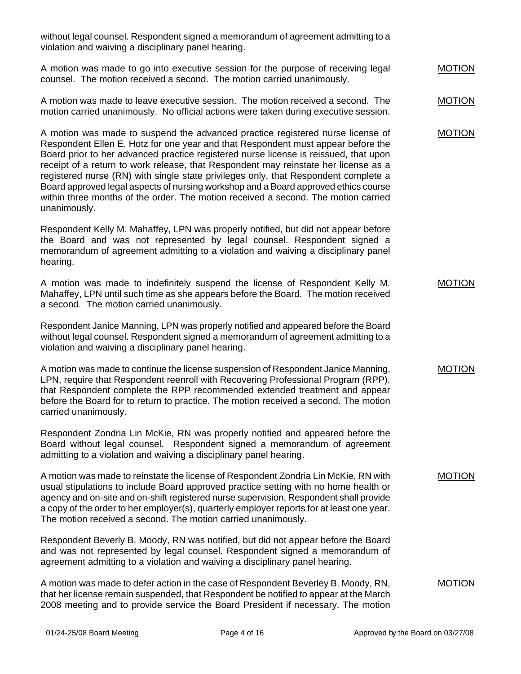without legal counsel. Respondent signed a memorandum of agreement admitting to a violation and waiving a disciplinary panel hearing.

A motion was made to go into executive session for the purpose of receiving legal counsel. The motion received a second. The motion carried unanimously. MOTION

A motion was made to leave executive session. The motion received a second. The motion carried unanimously. No official actions were taken during executive session. MOTION

A motion was made to suspend the advanced practice registered nurse license of Respondent Ellen E. Hotz for one year and that Respondent must appear before the Board prior to her advanced practice registered nurse license is reissued, that upon receipt of a return to work release, that Respondent may reinstate her license as a registered nurse (RN) with single state privileges only, that Respondent complete a Board approved legal aspects of nursing workshop and a Board approved ethics course within three months of the order. The motion received a second. The motion carried unanimously.

Respondent Kelly M. Mahaffey, LPN was properly notified, but did not appear before the Board and was not represented by legal counsel. Respondent signed a memorandum of agreement admitting to a violation and waiving a disciplinary panel hearing.

A motion was made to indefinitely suspend the license of Respondent Kelly M. Mahaffey, LPN until such time as she appears before the Board. The motion received a second. The motion carried unanimously. MOTION

Respondent Janice Manning, LPN was properly notified and appeared before the Board without legal counsel. Respondent signed a memorandum of agreement admitting to a violation and waiving a disciplinary panel hearing.

A motion was made to continue the license suspension of Respondent Janice Manning, LPN, require that Respondent reenroll with Recovering Professional Program (RPP), that Respondent complete the RPP recommended extended treatment and appear before the Board for to return to practice. The motion received a second. The motion carried unanimously.

Respondent Zondria Lin McKie, RN was properly notified and appeared before the Board without legal counsel. Respondent signed a memorandum of agreement admitting to a violation and waiving a disciplinary panel hearing.

A motion was made to reinstate the license of Respondent Zondria Lin McKie, RN with usual stipulations to include Board approved practice setting with no home health or agency and on-site and on-shift registered nurse supervision, Respondent shall provide a copy of the order to her employer(s), quarterly employer reports for at least one year. The motion received a second. The motion carried unanimously.

Respondent Beverly B. Moody, RN was notified, but did not appear before the Board and was not represented by legal counsel. Respondent signed a memorandum of agreement admitting to a violation and waiving a disciplinary panel hearing.

A motion was made to defer action in the case of Respondent Beverley B. Moody, RN, that her license remain suspended, that Respondent be notified to appear at the March 2008 meeting and to provide service the Board President if necessary. The motion MOTION

MOTION

# MOTION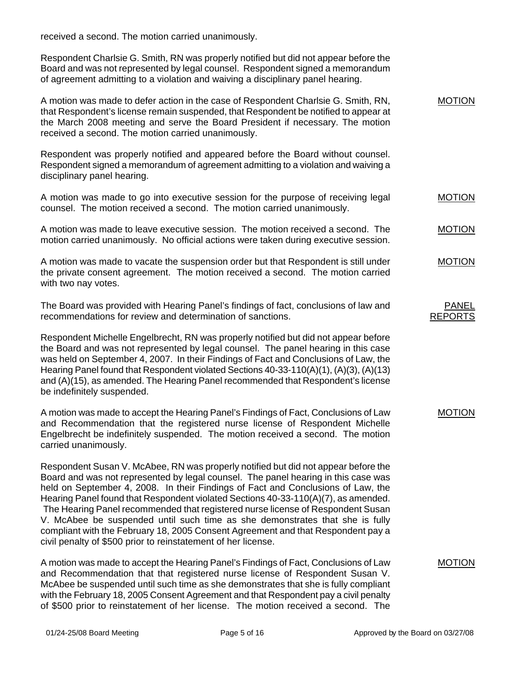received a second. The motion carried unanimously.

Respondent Charlsie G. Smith, RN was properly notified but did not appear before the Board and was not represented by legal counsel. Respondent signed a memorandum of agreement admitting to a violation and waiving a disciplinary panel hearing.

| A motion was made to defer action in the case of Respondent Charlsie G. Smith, RN,   | <b>MOTION</b> |
|--------------------------------------------------------------------------------------|---------------|
|                                                                                      |               |
| that Respondent's license remain suspended, that Respondent be notified to appear at |               |
| the March 2008 meeting and serve the Board President if necessary. The motion        |               |
| received a second. The motion carried unanimously.                                   |               |
|                                                                                      |               |

Respondent was properly notified and appeared before the Board without counsel. Respondent signed a memorandum of agreement admitting to a violation and waiving a disciplinary panel hearing.

A motion was made to go into executive session for the purpose of receiving legal counsel. The motion received a second. The motion carried unanimously. MOTION

A motion was made to leave executive session. The motion received a second. The motion carried unanimously. No official actions were taken during executive session. MOTION

| A motion was made to vacate the suspension order but that Respondent is still under | <b>MOTION</b> |
|-------------------------------------------------------------------------------------|---------------|
| the private consent agreement. The motion received a second. The motion carried     |               |
| with two nay votes.                                                                 |               |

The Board was provided with Hearing Panel's findings of fact, conclusions of law and recommendations for review and determination of sanctions.

Respondent Michelle Engelbrecht, RN was properly notified but did not appear before the Board and was not represented by legal counsel. The panel hearing in this case was held on September 4, 2007. In their Findings of Fact and Conclusions of Law, the Hearing Panel found that Respondent violated Sections 40-33-110(A)(1), (A)(3), (A)(13) and (A)(15), as amended. The Hearing Panel recommended that Respondent's license be indefinitely suspended.

A motion was made to accept the Hearing Panel's Findings of Fact, Conclusions of Law and Recommendation that the registered nurse license of Respondent Michelle Engelbrecht be indefinitely suspended. The motion received a second. The motion carried unanimously. MOTION

Respondent Susan V. McAbee, RN was properly notified but did not appear before the Board and was not represented by legal counsel. The panel hearing in this case was held on September 4, 2008. In their Findings of Fact and Conclusions of Law, the Hearing Panel found that Respondent violated Sections 40-33-110(A)(7), as amended. The Hearing Panel recommended that registered nurse license of Respondent Susan V. McAbee be suspended until such time as she demonstrates that she is fully compliant with the February 18, 2005 Consent Agreement and that Respondent pay a civil penalty of \$500 prior to reinstatement of her license.

A motion was made to accept the Hearing Panel's Findings of Fact, Conclusions of Law and Recommendation that that registered nurse license of Respondent Susan V. McAbee be suspended until such time as she demonstrates that she is fully compliant with the February 18, 2005 Consent Agreement and that Respondent pay a civil penalty of \$500 prior to reinstatement of her license. The motion received a second. The

PANEL REPORTS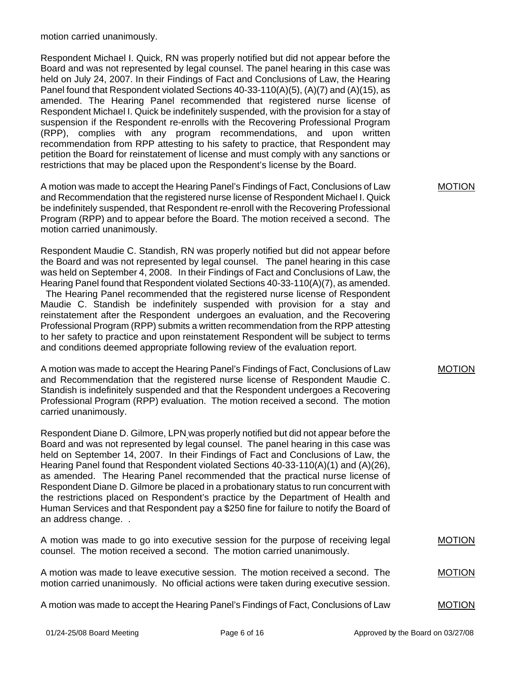motion carried unanimously.

Respondent Michael I. Quick, RN was properly notified but did not appear before the Board and was not represented by legal counsel. The panel hearing in this case was held on July 24, 2007. In their Findings of Fact and Conclusions of Law, the Hearing Panel found that Respondent violated Sections 40-33-110(A)(5), (A)(7) and (A)(15), as amended. The Hearing Panel recommended that registered nurse license of Respondent Michael I. Quick be indefinitely suspended, with the provision for a stay of suspension if the Respondent re-enrolls with the Recovering Professional Program (RPP), complies with any program recommendations, and upon written recommendation from RPP attesting to his safety to practice, that Respondent may petition the Board for reinstatement of license and must comply with any sanctions or restrictions that may be placed upon the Respondent's license by the Board.

A motion was made to accept the Hearing Panel's Findings of Fact, Conclusions of Law and Recommendation that the registered nurse license of Respondent Michael I. Quick be indefinitely suspended, that Respondent re-enroll with the Recovering Professional Program (RPP) and to appear before the Board. The motion received a second. The motion carried unanimously.

Respondent Maudie C. Standish, RN was properly notified but did not appear before the Board and was not represented by legal counsel. The panel hearing in this case was held on September 4, 2008. In their Findings of Fact and Conclusions of Law, the Hearing Panel found that Respondent violated Sections 40-33-110(A)(7), as amended. The Hearing Panel recommended that the registered nurse license of Respondent Maudie C. Standish be indefinitely suspended with provision for a stay and reinstatement after the Respondent undergoes an evaluation, and the Recovering Professional Program (RPP) submits a written recommendation from the RPP attesting

to her safety to practice and upon reinstatement Respondent will be subject to terms and conditions deemed appropriate following review of the evaluation report. A motion was made to accept the Hearing Panel's Findings of Fact, Conclusions of Law and Recommendation that the registered nurse license of Respondent Maudie C.

Standish is indefinitely suspended and that the Respondent undergoes a Recovering Professional Program (RPP) evaluation. The motion received a second. The motion carried unanimously.

Respondent Diane D. Gilmore, LPN was properly notified but did not appear before the Board and was not represented by legal counsel. The panel hearing in this case was held on September 14, 2007. In their Findings of Fact and Conclusions of Law, the Hearing Panel found that Respondent violated Sections 40-33-110(A)(1) and (A)(26), as amended. The Hearing Panel recommended that the practical nurse license of Respondent Diane D. Gilmore be placed in a probationary status to run concurrent with the restrictions placed on Respondent's practice by the Department of Health and Human Services and that Respondent pay a \$250 fine for failure to notify the Board of an address change. .

A motion was made to go into executive session for the purpose of receiving legal counsel. The motion received a second. The motion carried unanimously.

A motion was made to leave executive session. The motion received a second. The motion carried unanimously. No official actions were taken during executive session. MOTION

A motion was made to accept the Hearing Panel's Findings of Fact, Conclusions of Law

MOTION

MOTION

MOTION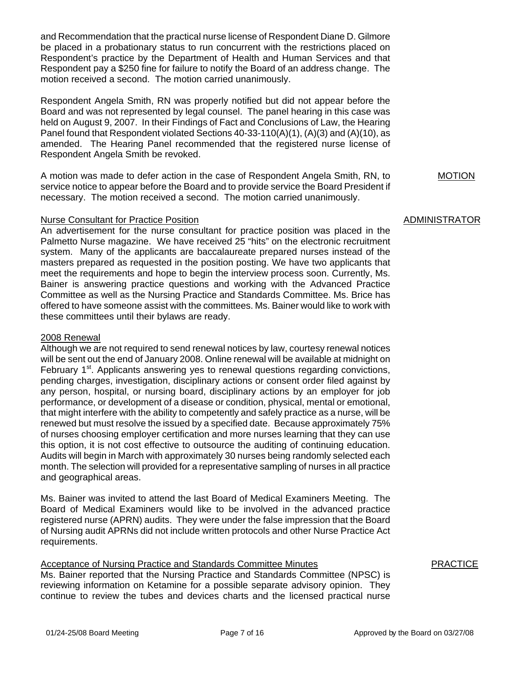and Recommendation that the practical nurse license of Respondent Diane D. Gilmore be placed in a probationary status to run concurrent with the restrictions placed on Respondent's practice by the Department of Health and Human Services and that Respondent pay a \$250 fine for failure to notify the Board of an address change. The motion received a second. The motion carried unanimously.

Respondent Angela Smith, RN was properly notified but did not appear before the Board and was not represented by legal counsel. The panel hearing in this case was held on August 9, 2007. In their Findings of Fact and Conclusions of Law, the Hearing Panel found that Respondent violated Sections 40-33-110(A)(1), (A)(3) and (A)(10), as amended. The Hearing Panel recommended that the registered nurse license of Respondent Angela Smith be revoked.

A motion was made to defer action in the case of Respondent Angela Smith, RN, to service notice to appear before the Board and to provide service the Board President if necessary. The motion received a second. The motion carried unanimously.

#### Nurse Consultant for Practice Position

An advertisement for the nurse consultant for practice position was placed in the Palmetto Nurse magazine. We have received 25 "hits" on the electronic recruitment system. Many of the applicants are baccalaureate prepared nurses instead of the masters prepared as requested in the position posting. We have two applicants that meet the requirements and hope to begin the interview process soon. Currently, Ms. Bainer is answering practice questions and working with the Advanced Practice Committee as well as the Nursing Practice and Standards Committee. Ms. Brice has offered to have someone assist with the committees. Ms. Bainer would like to work with these committees until their bylaws are ready.

#### 2008 Renewal

Although we are not required to send renewal notices by law, courtesy renewal notices will be sent out the end of January 2008. Online renewal will be available at midnight on February  $1<sup>st</sup>$ . Applicants answering yes to renewal questions regarding convictions, pending charges, investigation, disciplinary actions or consent order filed against by any person, hospital, or nursing board, disciplinary actions by an employer for job performance, or development of a disease or condition, physical, mental or emotional, that might interfere with the ability to competently and safely practice as a nurse, will be renewed but must resolve the issued by a specified date. Because approximately 75% of nurses choosing employer certification and more nurses learning that they can use this option, it is not cost effective to outsource the auditing of continuing education. Audits will begin in March with approximately 30 nurses being randomly selected each month. The selection will provided for a representative sampling of nurses in all practice and geographical areas.

Ms. Bainer was invited to attend the last Board of Medical Examiners Meeting. The Board of Medical Examiners would like to be involved in the advanced practice registered nurse (APRN) audits. They were under the false impression that the Board of Nursing audit APRNs did not include written protocols and other Nurse Practice Act requirements.

#### Acceptance of Nursing Practice and Standards Committee Minutes

Ms. Bainer reported that the Nursing Practice and Standards Committee (NPSC) is reviewing information on Ketamine for a possible separate advisory opinion. They continue to review the tubes and devices charts and the licensed practical nurse

MOTION

#### ADMINISTRATOR

**PRACTICE**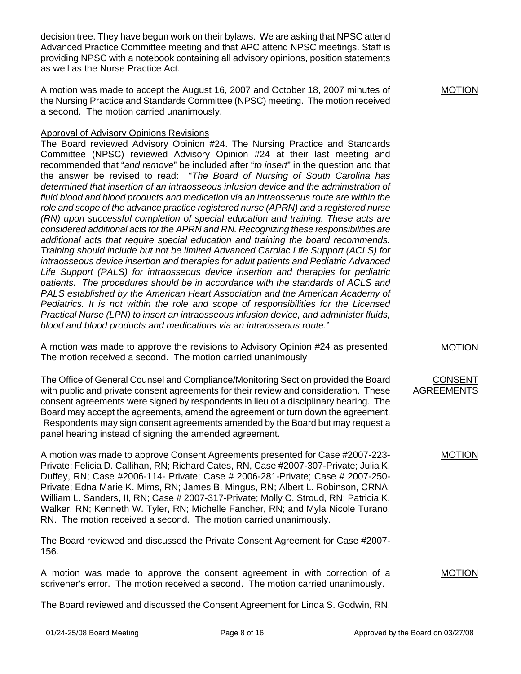decision tree. They have begun work on their bylaws. We are asking that NPSC attend Advanced Practice Committee meeting and that APC attend NPSC meetings. Staff is providing NPSC with a notebook containing all advisory opinions, position statements as well as the Nurse Practice Act.

A motion was made to accept the August 16, 2007 and October 18, 2007 minutes of the Nursing Practice and Standards Committee (NPSC) meeting. The motion received a second. The motion carried unanimously.

#### Approval of Advisory Opinions Revisions

The Board reviewed Advisory Opinion #24. The Nursing Practice and Standards Committee (NPSC) reviewed Advisory Opinion #24 at their last meeting and recommended that "*and remove*" be included after "*to insert*" in the question and that the answer be revised to read: "*The Board of Nursing of South Carolina has*  determined that insertion of an intraosseous infusion device and the administration of *fluid blood and blood products and medication via an intraosseous route are within the role and scope of the advance practice registered nurse (APRN) and a registered nurse (RN) upon successful completion of special education and training. These acts are considered additional acts for the APRN and RN. Recognizing these responsibilities are additional acts that require special education and training the board recommends. Training should include but not be limited Advanced Cardiac Life Support (ACLS) for intraosseous device insertion and therapies for adult patients and Pediatric Advanced*  Life Support (PALS) for intraosseous device insertion and therapies for pediatric *patients. The procedures should be in accordance with the standards of ACLS and*  **PALS established by the American Heart Association and the American Academy of** *Pediatrics. It is not within the role and scope of responsibilities for the Licensed Practical Nurse (LPN) to insert an intraosseous infusion device, and administer fluids, blood and blood products and medications via an intraosseous route.*"

A motion was made to approve the revisions to Advisory Opinion #24 as presented. The motion received a second. The motion carried unanimously

The Office of General Counsel and Compliance/Monitoring Section provided the Board with public and private consent agreements for their review and consideration. These consent agreements were signed by respondents in lieu of a disciplinary hearing. The Board may accept the agreements, amend the agreement or turn down the agreement. Respondents may sign consent agreements amended by the Board but may request a panel hearing instead of signing the amended agreement.

A motion was made to approve Consent Agreements presented for Case #2007-223- Private; Felicia D. Callihan, RN; Richard Cates, RN, Case #2007-307-Private; Julia K. Duffey, RN; Case #2006-114- Private; Case # 2006-281-Private; Case # 2007-250- Private; Edna Marie K. Mims, RN; James B. Mingus, RN; Albert L. Robinson, CRNA; William L. Sanders, II, RN; Case # 2007-317-Private; Molly C. Stroud, RN; Patricia K. Walker, RN; Kenneth W. Tyler, RN; Michelle Fancher, RN; and Myla Nicole Turano, RN. The motion received a second. The motion carried unanimously.

The Board reviewed and discussed the Private Consent Agreement for Case #2007- 156.

A motion was made to approve the consent agreement in with correction of a scrivener's error. The motion received a second. The motion carried unanimously.

The Board reviewed and discussed the Consent Agreement for Linda S. Godwin, RN.

MOTION

# MOTION

#### CONSENT AGREEMENTS

#### MOTION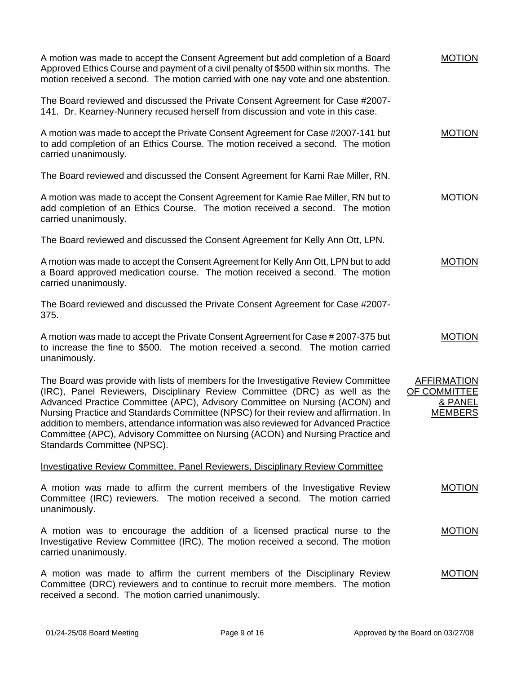| A motion was made to accept the Consent Agreement but add completion of a Board<br>Approved Ethics Course and payment of a civil penalty of \$500 within six months. The<br>motion received a second. The motion carried with one nay vote and one abstention.                                                                                                                                                                                                                                                                                  | <b>MOTION</b>                                                   |
|-------------------------------------------------------------------------------------------------------------------------------------------------------------------------------------------------------------------------------------------------------------------------------------------------------------------------------------------------------------------------------------------------------------------------------------------------------------------------------------------------------------------------------------------------|-----------------------------------------------------------------|
| The Board reviewed and discussed the Private Consent Agreement for Case #2007-<br>141. Dr. Kearney-Nunnery recused herself from discussion and vote in this case.                                                                                                                                                                                                                                                                                                                                                                               |                                                                 |
| A motion was made to accept the Private Consent Agreement for Case #2007-141 but<br>to add completion of an Ethics Course. The motion received a second. The motion<br>carried unanimously.                                                                                                                                                                                                                                                                                                                                                     | <b>MOTION</b>                                                   |
| The Board reviewed and discussed the Consent Agreement for Kami Rae Miller, RN.                                                                                                                                                                                                                                                                                                                                                                                                                                                                 |                                                                 |
| A motion was made to accept the Consent Agreement for Kamie Rae Miller, RN but to<br>add completion of an Ethics Course. The motion received a second. The motion<br>carried unanimously.                                                                                                                                                                                                                                                                                                                                                       | <b>MOTION</b>                                                   |
| The Board reviewed and discussed the Consent Agreement for Kelly Ann Ott, LPN.                                                                                                                                                                                                                                                                                                                                                                                                                                                                  |                                                                 |
| A motion was made to accept the Consent Agreement for Kelly Ann Ott, LPN but to add<br>a Board approved medication course. The motion received a second. The motion<br>carried unanimously.                                                                                                                                                                                                                                                                                                                                                     | <b>MOTION</b>                                                   |
| The Board reviewed and discussed the Private Consent Agreement for Case #2007-<br>375.                                                                                                                                                                                                                                                                                                                                                                                                                                                          |                                                                 |
| A motion was made to accept the Private Consent Agreement for Case # 2007-375 but<br>to increase the fine to \$500. The motion received a second. The motion carried<br>unanimously.                                                                                                                                                                                                                                                                                                                                                            | <b>MOTION</b>                                                   |
| The Board was provide with lists of members for the Investigative Review Committee<br>(IRC), Panel Reviewers, Disciplinary Review Committee (DRC) as well as the<br>Advanced Practice Committee (APC), Advisory Committee on Nursing (ACON) and<br>Nursing Practice and Standards Committee (NPSC) for their review and affirmation. In<br>addition to members, attendance information was also reviewed for Advanced Practice<br>Committee (APC), Advisory Committee on Nursing (ACON) and Nursing Practice and<br>Standards Committee (NPSC). | <b>AFFIRMATION</b><br>OF COMMITTEE<br>& PANEL<br><b>MEMBERS</b> |
| <b>Investigative Review Committee, Panel Reviewers, Disciplinary Review Committee</b>                                                                                                                                                                                                                                                                                                                                                                                                                                                           |                                                                 |
| A motion was made to affirm the current members of the Investigative Review<br>Committee (IRC) reviewers. The motion received a second. The motion carried<br>unanimously.                                                                                                                                                                                                                                                                                                                                                                      | <b>MOTION</b>                                                   |
| A motion was to encourage the addition of a licensed practical nurse to the<br>Investigative Review Committee (IRC). The motion received a second. The motion<br>carried unanimously.                                                                                                                                                                                                                                                                                                                                                           | <b>MOTION</b>                                                   |
| A motion was made to affirm the current members of the Disciplinary Review<br>Committee (DRC) reviewers and to continue to recruit more members. The motion<br>received a second. The motion carried unanimously.                                                                                                                                                                                                                                                                                                                               | <b>MOTION</b>                                                   |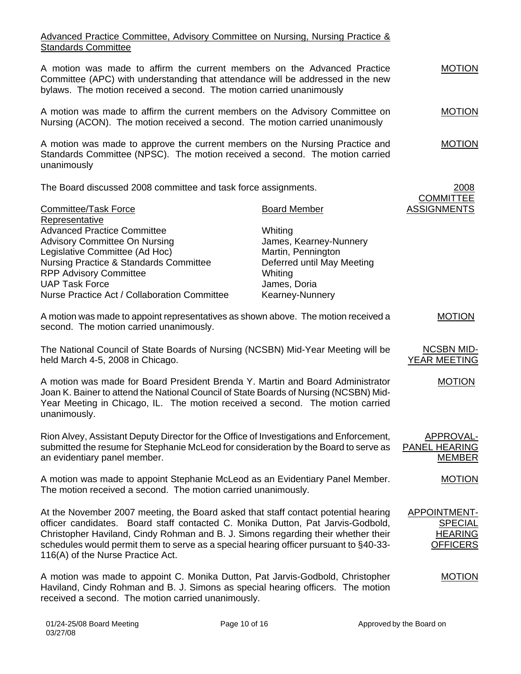## Advanced Practice Committee, Advisory Committee on Nursing, Nursing Practice & **Standards Committee**

| A motion was made to affirm the current members on the Advanced Practice<br>Committee (APC) with understanding that attendance will be addressed in the new<br>bylaws. The motion received a second. The motion carried unanimously                                                                                                                                                      |                            | <b>MOTION</b>                                                              |
|------------------------------------------------------------------------------------------------------------------------------------------------------------------------------------------------------------------------------------------------------------------------------------------------------------------------------------------------------------------------------------------|----------------------------|----------------------------------------------------------------------------|
| A motion was made to affirm the current members on the Advisory Committee on<br>Nursing (ACON). The motion received a second. The motion carried unanimously                                                                                                                                                                                                                             |                            | <b>MOTION</b>                                                              |
| A motion was made to approve the current members on the Nursing Practice and<br>Standards Committee (NPSC). The motion received a second. The motion carried<br>unanimously                                                                                                                                                                                                              |                            | <b>MOTION</b>                                                              |
| The Board discussed 2008 committee and task force assignments.                                                                                                                                                                                                                                                                                                                           |                            | 2008                                                                       |
| <b>Committee/Task Force</b><br>Representative                                                                                                                                                                                                                                                                                                                                            | <b>Board Member</b>        | <b>COMMITTEE</b><br><b>ASSIGNMENTS</b>                                     |
| <b>Advanced Practice Committee</b>                                                                                                                                                                                                                                                                                                                                                       |                            |                                                                            |
|                                                                                                                                                                                                                                                                                                                                                                                          | Whiting                    |                                                                            |
| <b>Advisory Committee On Nursing</b>                                                                                                                                                                                                                                                                                                                                                     | James, Kearney-Nunnery     |                                                                            |
| Legislative Committee (Ad Hoc)                                                                                                                                                                                                                                                                                                                                                           | Martin, Pennington         |                                                                            |
| Nursing Practice & Standards Committee                                                                                                                                                                                                                                                                                                                                                   | Deferred until May Meeting |                                                                            |
| <b>RPP Advisory Committee</b>                                                                                                                                                                                                                                                                                                                                                            | Whiting                    |                                                                            |
| <b>UAP Task Force</b>                                                                                                                                                                                                                                                                                                                                                                    | James, Doria               |                                                                            |
| Nurse Practice Act / Collaboration Committee                                                                                                                                                                                                                                                                                                                                             | Kearney-Nunnery            |                                                                            |
| A motion was made to appoint representatives as shown above. The motion received a<br>second. The motion carried unanimously.                                                                                                                                                                                                                                                            |                            | <b>MOTION</b>                                                              |
| The National Council of State Boards of Nursing (NCSBN) Mid-Year Meeting will be<br>held March 4-5, 2008 in Chicago.                                                                                                                                                                                                                                                                     |                            | <b>NCSBN MID-</b><br><b>YEAR MEETING</b>                                   |
| A motion was made for Board President Brenda Y. Martin and Board Administrator<br>Joan K. Bainer to attend the National Council of State Boards of Nursing (NCSBN) Mid-<br>Year Meeting in Chicago, IL. The motion received a second. The motion carried<br>unanimously.                                                                                                                 |                            | <b>MOTION</b>                                                              |
| Rion Alvey, Assistant Deputy Director for the Office of Investigations and Enforcement,<br>submitted the resume for Stephanie McLeod for consideration by the Board to serve as<br>an evidentiary panel member.                                                                                                                                                                          |                            | APPROVAL-<br><b>PANEL HEARING</b><br><b>MEMBER</b>                         |
| A motion was made to appoint Stephanie McLeod as an Evidentiary Panel Member.<br>The motion received a second. The motion carried unanimously.                                                                                                                                                                                                                                           |                            | <b>MOTION</b>                                                              |
| At the November 2007 meeting, the Board asked that staff contact potential hearing<br>officer candidates. Board staff contacted C. Monika Dutton, Pat Jarvis-Godbold,<br>Christopher Haviland, Cindy Rohman and B. J. Simons regarding their whether their<br>schedules would permit them to serve as a special hearing officer pursuant to §40-33-<br>116(A) of the Nurse Practice Act. |                            | <b>APPOINTMENT-</b><br><b>SPECIAL</b><br><b>HEARING</b><br><b>OFFICERS</b> |
| A motion was made to appoint C. Monika Dutton, Pat Jarvis-Godbold, Christopher<br>Haviland, Cindy Rohman and B. J. Simons as special hearing officers. The motion<br>received a second. The motion carried unanimously.                                                                                                                                                                  |                            | <b>MOTION</b>                                                              |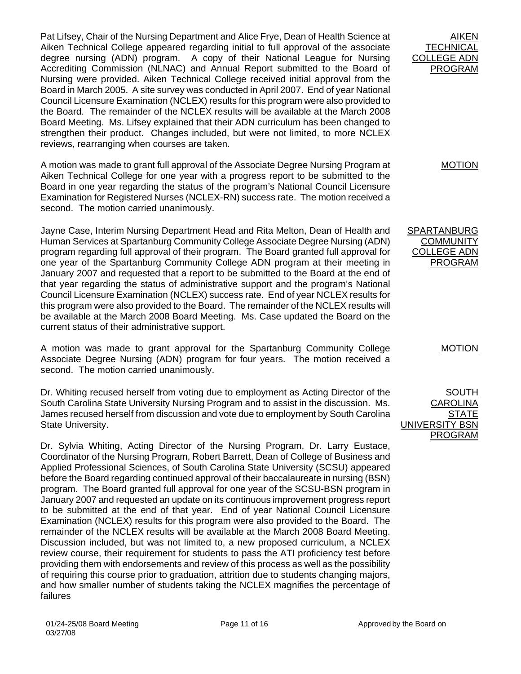Pat Lifsey, Chair of the Nursing Department and Alice Frye, Dean of Health Science at Aiken Technical College appeared regarding initial to full approval of the associate degree nursing (ADN) program. A copy of their National League for Nursing Accrediting Commission (NLNAC) and Annual Report submitted to the Board of Nursing were provided. Aiken Technical College received initial approval from the Board in March 2005. A site survey was conducted in April 2007. End of year National Council Licensure Examination (NCLEX) results for this program were also provided to the Board. The remainder of the NCLEX results will be available at the March 2008 Board Meeting. Ms. Lifsey explained that their ADN curriculum has been changed to strengthen their product. Changes included, but were not limited, to more NCLEX reviews, rearranging when courses are taken.

A motion was made to grant full approval of the Associate Degree Nursing Program at Aiken Technical College for one year with a progress report to be submitted to the Board in one year regarding the status of the program's National Council Licensure Examination for Registered Nurses (NCLEX-RN) success rate. The motion received a second. The motion carried unanimously.

Jayne Case, Interim Nursing Department Head and Rita Melton, Dean of Health and Human Services at Spartanburg Community College Associate Degree Nursing (ADN) program regarding full approval of their program. The Board granted full approval for one year of the Spartanburg Community College ADN program at their meeting in January 2007 and requested that a report to be submitted to the Board at the end of that year regarding the status of administrative support and the program's National Council Licensure Examination (NCLEX) success rate. End of year NCLEX results for this program were also provided to the Board. The remainder of the NCLEX results will be available at the March 2008 Board Meeting. Ms. Case updated the Board on the current status of their administrative support.

A motion was made to grant approval for the Spartanburg Community College Associate Degree Nursing (ADN) program for four years. The motion received a second. The motion carried unanimously.

Dr. Whiting recused herself from voting due to employment as Acting Director of the South Carolina State University Nursing Program and to assist in the discussion. Ms. James recused herself from discussion and vote due to employment by South Carolina State University.

Dr. Sylvia Whiting, Acting Director of the Nursing Program, Dr. Larry Eustace, Coordinator of the Nursing Program, Robert Barrett, Dean of College of Business and Applied Professional Sciences, of South Carolina State University (SCSU) appeared before the Board regarding continued approval of their baccalaureate in nursing (BSN) program. The Board granted full approval for one year of the SCSU-BSN program in January 2007 and requested an update on its continuous improvement progress report to be submitted at the end of that year. End of year National Council Licensure Examination (NCLEX) results for this program were also provided to the Board. The remainder of the NCLEX results will be available at the March 2008 Board Meeting. Discussion included, but was not limited to, a new proposed curriculum, a NCLEX review course, their requirement for students to pass the ATI proficiency test before providing them with endorsements and review of this process as well as the possibility of requiring this course prior to graduation, attrition due to students changing majors, and how smaller number of students taking the NCLEX magnifies the percentage of failures

AIKEN **TECHNICAL** COLLEGE ADN PROGRAM

MOTION

SPARTANBURG **COMMUNITY** COLLEGE ADN PROGRAM

MOTION

SOUTH AROLINA **STATE** UNIVERSITY BSN PROGRAM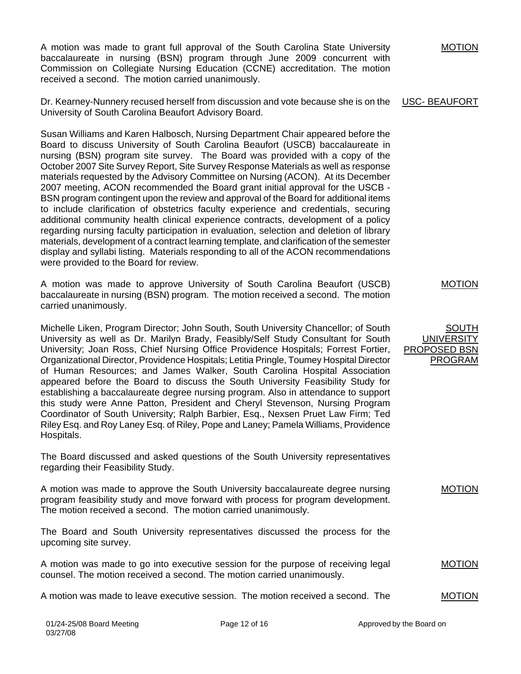A motion was made to grant full approval of the South Carolina State University baccalaureate in nursing (BSN) program through June 2009 concurrent with Commission on Collegiate Nursing Education (CCNE) accreditation. The motion received a second. The motion carried unanimously.

Dr. Kearney-Nunnery recused herself from discussion and vote because she is on the University of South Carolina Beaufort Advisory Board.

Susan Williams and Karen Halbosch, Nursing Department Chair appeared before the Board to discuss University of South Carolina Beaufort (USCB) baccalaureate in nursing (BSN) program site survey. The Board was provided with a copy of the October 2007 Site Survey Report, Site Survey Response Materials as well as response materials requested by the Advisory Committee on Nursing (ACON). At its December 2007 meeting, ACON recommended the Board grant initial approval for the USCB - BSN program contingent upon the review and approval of the Board for additional items to include clarification of obstetrics faculty experience and credentials, securing additional community health clinical experience contracts, development of a policy regarding nursing faculty participation in evaluation, selection and deletion of library materials, development of a contract learning template, and clarification of the semester display and syllabi listing. Materials responding to all of the ACON recommendations were provided to the Board for review.

A motion was made to approve University of South Carolina Beaufort (USCB) baccalaureate in nursing (BSN) program. The motion received a second. The motion carried unanimously.

Michelle Liken, Program Director; John South, South University Chancellor; of South University as well as Dr. Marilyn Brady, Feasibly/Self Study Consultant for South University; Joan Ross, Chief Nursing Office Providence Hospitals; Forrest Fortier, Organizational Director, Providence Hospitals; Letitia Pringle, Toumey Hospital Director of Human Resources; and James Walker, South Carolina Hospital Association appeared before the Board to discuss the South University Feasibility Study for establishing a baccalaureate degree nursing program. Also in attendance to support this study were Anne Patton, President and Cheryl Stevenson, Nursing Program Coordinator of South University; Ralph Barbier, Esq., Nexsen Pruet Law Firm; Ted Riley Esq. and Roy Laney Esq. of Riley, Pope and Laney; Pamela Williams, Providence Hospitals.

The Board discussed and asked questions of the South University representatives regarding their Feasibility Study.

A motion was made to approve the South University baccalaureate degree nursing program feasibility study and move forward with process for program development. The motion received a second. The motion carried unanimously. MOTION

The Board and South University representatives discussed the process for the upcoming site survey.

A motion was made to go into executive session for the purpose of receiving legal counsel. The motion received a second. The motion carried unanimously.

A motion was made to leave executive session. The motion received a second. The

USC- BEAUFORT

MOTION

MOTION

MOTION

## SOUTH UNIVERSITY PROPOSED BSN PROGRAM

01/24-25/08 Board Meeting **Page 12 of 16** Approved by the Board on 03/27/08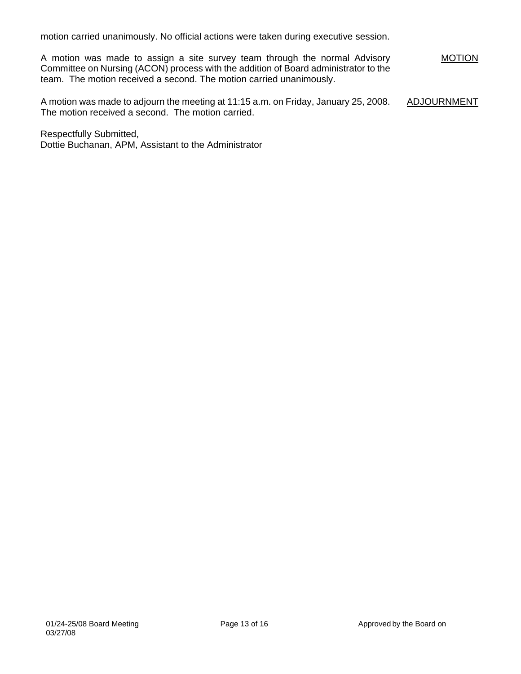motion carried unanimously. No official actions were taken during executive session.

A motion was made to assign a site survey team through the normal Advisory Committee on Nursing (ACON) process with the addition of Board administrator to the team. The motion received a second. The motion carried unanimously. **MOTION** 

A motion was made to adjourn the meeting at 11:15 a.m. on Friday, January 25, 2008. The motion received a second. The motion carried. ADJOURNMENT

Respectfully Submitted, Dottie Buchanan, APM, Assistant to the Administrator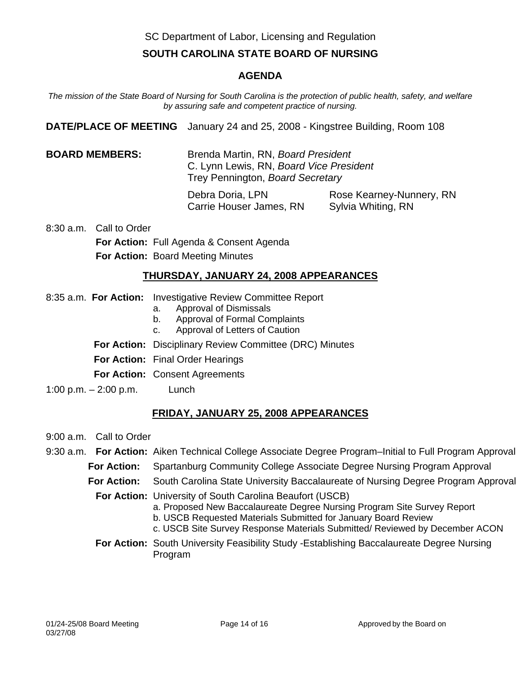SC Department of Labor, Licensing and Regulation

# **SOUTH CAROLINA STATE BOARD OF NURSING**

## **AGENDA**

*The mission of the State Board of Nursing for South Carolina is the protection of public health, safety, and welfare by assuring safe and competent practice of nursing.* 

**DATE/PLACE OF MEETING** January 24 and 25, 2008 - Kingstree Building, Room 108

**BOARD MEMBERS:** Brenda Martin, RN, *Board President* C. Lynn Lewis, RN, *Board Vice President* Trey Pennington, *Board Secretary*

> Debra Doria, LPN Rose Kearney-Nunnery, RN Carrie Houser James, RN Sylvia Whiting, RN

8:30 a.m. Call to Order **For Action:** Full Agenda & Consent Agenda **For Action:** Board Meeting Minutes

## **THURSDAY, JANUARY 24, 2008 APPEARANCES**

- 8:35 a.m. **For Action:** Investigative Review Committee Report
	- a. Approval of Dismissals
	- b. Approval of Formal Complaints
	- c. Approval of Letters of Caution
	- **For Action:** Disciplinary Review Committee (DRC) Minutes
	- **For Action:** Final Order Hearings
	- **For Action:** Consent Agreements
- 1:00 p.m. 2:00 p.m. Lunch

# **FRIDAY, JANUARY 25, 2008 APPEARANCES**

- 9:00 a.m. Call to Order
- 9:30 a.m. **For Action:** Aiken Technical College Associate Degree Program–Initial to Full Program Approval
	- **For Action:** Spartanburg Community College Associate Degree Nursing Program Approval
	- **For Action:** South Carolina State University Baccalaureate of Nursing Degree Program Approval
		- **For Action:** University of South Carolina Beaufort (USCB)
			- a. Proposed New Baccalaureate Degree Nursing Program Site Survey Report
				- b. USCB Requested Materials Submitted for January Board Review
			- c. USCB Site Survey Response Materials Submitted/ Reviewed by December ACON
		- **For Action:** South University Feasibility Study -Establishing Baccalaureate Degree Nursing Program